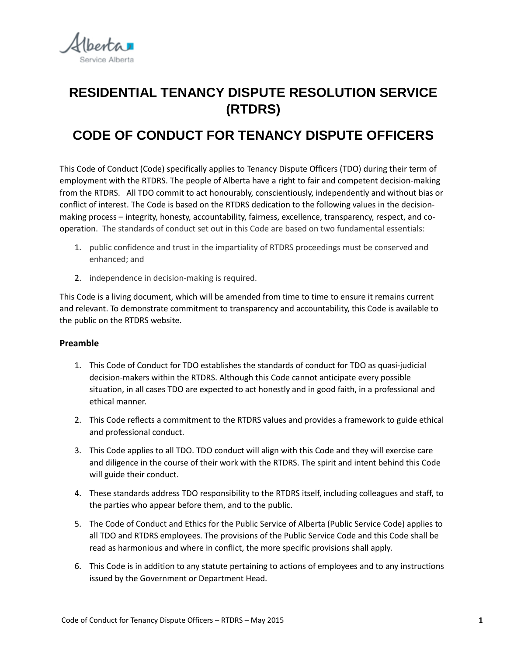

# **RESIDENTIAL TENANCY DISPUTE RESOLUTION SERVICE (RTDRS)**

# **CODE OF CONDUCT FOR TENANCY DISPUTE OFFICERS**

This Code of Conduct (Code) specifically applies to Tenancy Dispute Officers (TDO) during their term of employment with the RTDRS. The people of Alberta have a right to fair and competent decision-making from the RTDRS. All TDO commit to act honourably, conscientiously, independently and without bias or conflict of interest. The Code is based on the RTDRS dedication to the following values in the decisionmaking process – integrity, honesty, accountability, fairness, excellence, transparency, respect, and cooperation. The standards of conduct set out in this Code are based on two fundamental essentials:

- 1. public confidence and trust in the impartiality of RTDRS proceedings must be conserved and enhanced; and
- 2. independence in decision-making is required.

This Code is a living document, which will be amended from time to time to ensure it remains current and relevant. To demonstrate commitment to transparency and accountability, this Code is available to the public on the RTDRS website.

#### **Preamble**

- 1. This Code of Conduct for TDO establishes the standards of conduct for TDO as quasi-judicial decision-makers within the RTDRS. Although this Code cannot anticipate every possible situation, in all cases TDO are expected to act honestly and in good faith, in a professional and ethical manner.
- 2. This Code reflects a commitment to the RTDRS values and provides a framework to guide ethical and professional conduct.
- 3. This Code applies to all TDO. TDO conduct will align with this Code and they will exercise care and diligence in the course of their work with the RTDRS. The spirit and intent behind this Code will guide their conduct.
- 4. These standards address TDO responsibility to the RTDRS itself, including colleagues and staff, to the parties who appear before them, and to the public.
- 5. The Code of Conduct and Ethics for the Public Service of Alberta (Public Service Code) applies to all TDO and RTDRS employees. The provisions of the Public Service Code and this Code shall be read as harmonious and where in conflict, the more specific provisions shall apply.
- 6. This Code is in addition to any statute pertaining to actions of employees and to any instructions issued by the Government or Department Head.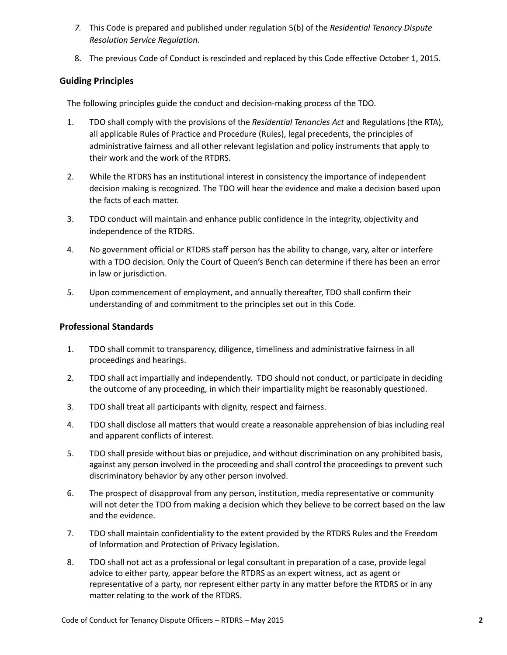- *7.* This Code is prepared and published under regulation 5(b) of the *Residential Tenancy Dispute Resolution Service Regulation.*
- 8. The previous Code of Conduct is rescinded and replaced by this Code effective October 1, 2015.

## **Guiding Principles**

The following principles guide the conduct and decision-making process of the TDO.

- 1. TDO shall comply with the provisions of the *Residential Tenancies Act* and Regulations (the RTA), all applicable Rules of Practice and Procedure (Rules), legal precedents, the principles of administrative fairness and all other relevant legislation and policy instruments that apply to their work and the work of the RTDRS.
- 2. While the RTDRS has an institutional interest in consistency the importance of independent decision making is recognized. The TDO will hear the evidence and make a decision based upon the facts of each matter.
- 3. TDO conduct will maintain and enhance public confidence in the integrity, objectivity and independence of the RTDRS.
- 4. No government official or RTDRS staff person has the ability to change, vary, alter or interfere with a TDO decision. Only the Court of Queen's Bench can determine if there has been an error in law or jurisdiction.
- 5. Upon commencement of employment, and annually thereafter, TDO shall confirm their understanding of and commitment to the principles set out in this Code.

### **Professional Standards**

- 1. TDO shall commit to transparency, diligence, timeliness and administrative fairness in all proceedings and hearings.
- 2. TDO shall act impartially and independently. TDO should not conduct, or participate in deciding the outcome of any proceeding, in which their impartiality might be reasonably questioned.
- 3. TDO shall treat all participants with dignity, respect and fairness.
- 4. TDO shall disclose all matters that would create a reasonable apprehension of bias including real and apparent conflicts of interest.
- 5. TDO shall preside without bias or prejudice, and without discrimination on any prohibited basis, against any person involved in the proceeding and shall control the proceedings to prevent such discriminatory behavior by any other person involved.
- 6. The prospect of disapproval from any person, institution, media representative or community will not deter the TDO from making a decision which they believe to be correct based on the law and the evidence.
- 7. TDO shall maintain confidentiality to the extent provided by the RTDRS Rules and the Freedom of Information and Protection of Privacy legislation.
- 8. TDO shall not act as a professional or legal consultant in preparation of a case, provide legal advice to either party, appear before the RTDRS as an expert witness, act as agent or representative of a party, nor represent either party in any matter before the RTDRS or in any matter relating to the work of the RTDRS.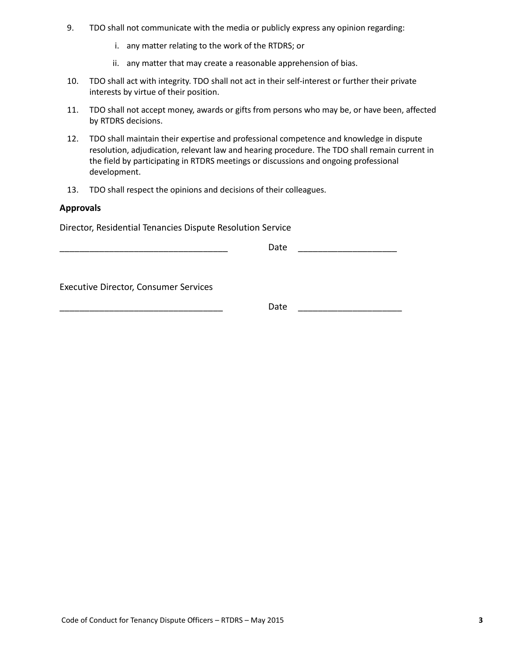- 9. TDO shall not communicate with the media or publicly express any opinion regarding:
	- i. any matter relating to the work of the RTDRS; or
	- ii. any matter that may create a reasonable apprehension of bias.
- 10. TDO shall act with integrity. TDO shall not act in their self-interest or further their private interests by virtue of their position.
- 11. TDO shall not accept money, awards or gifts from persons who may be, or have been, affected by RTDRS decisions.
- 12. TDO shall maintain their expertise and professional competence and knowledge in dispute resolution, adjudication, relevant law and hearing procedure. The TDO shall remain current in the field by participating in RTDRS meetings or discussions and ongoing professional development.
- 13. TDO shall respect the opinions and decisions of their colleagues.

#### **Approvals**

Director, Residential Tenancies Dispute Resolution Service

| - - |  |
|-----|--|
|     |  |

Executive Director, Consumer Services

\_\_\_\_\_\_\_\_\_\_\_\_\_\_\_\_\_\_\_\_\_\_\_\_\_\_\_\_\_\_\_\_\_ Date \_\_\_\_\_\_\_\_\_\_\_\_\_\_\_\_\_\_\_\_\_